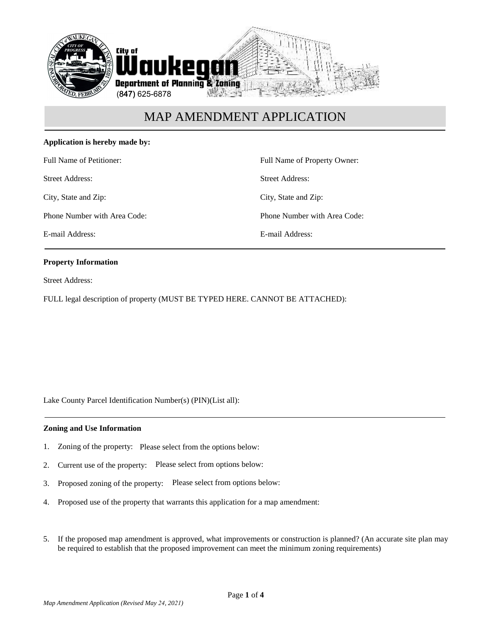

### **Application is hereby made by:**

Full Name of Petitioner:

Street Address:

City, State and Zip:

Phone Number with Area Code:

E-mail Address:

Full Name of Property Owner: Street Address: City, State and Zip: Phone Number with Area Code: E-mail Address:

### **Property Information**

Street Address:

FULL legal description of property (MUST BE TYPED HERE. CANNOT BE ATTACHED):

Lake County Parcel Identification Number(s) (PIN)(List all):

#### **Zoning and Use Information**

- 1. Zoning of the property: Please select from the options below:
- 2. Current use of the property: Please select from options below:
- 3. Proposed zoning of the property: Please select from options below:
- 4. Proposed use of the property that warrants this application for a map amendment:
- 5. If the proposed map amendment is approved, what improvements or construction is planned? (An accurate site plan may be required to establish that the proposed improvement can meet the minimum zoning requirements)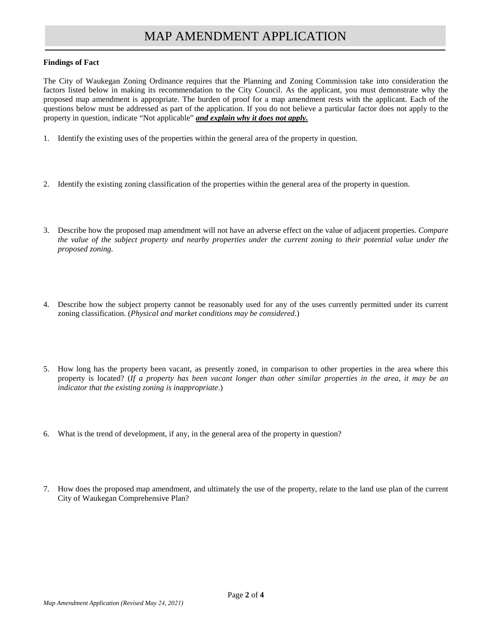#### **Findings of Fact**

The City of Waukegan Zoning Ordinance requires that the Planning and Zoning Commission take into consideration the factors listed below in making its recommendation to the City Council. As the applicant, you must demonstrate why the proposed map amendment is appropriate. The burden of proof for a map amendment rests with the applicant. Each of the questions below must be addressed as part of the application. If you do not believe a particular factor does not apply to the property in question, indicate "Not applicable" *and explain why it does not apply.*

- 1. Identify the existing uses of the properties within the general area of the property in question.
- 2. Identify the existing zoning classification of the properties within the general area of the property in question.
- 3. Describe how the proposed map amendment will not have an adverse effect on the value of adjacent properties. *Compare the value of the subject property and nearby properties under the current zoning to their potential value under the proposed zoning.*
- 4. Describe how the subject property cannot be reasonably used for any of the uses currently permitted under its current zoning classification. (*Physical and market conditions may be considered*.)
- 5. How long has the property been vacant, as presently zoned, in comparison to other properties in the area where this property is located? (*If a property has been vacant longer than other similar properties in the area, it may be an indicator that the existing zoning is inappropriate*.)
- 6. What is the trend of development, if any, in the general area of the property in question?
- 7. How does the proposed map amendment, and ultimately the use of the property, relate to the land use plan of the current City of Waukegan Comprehensive Plan?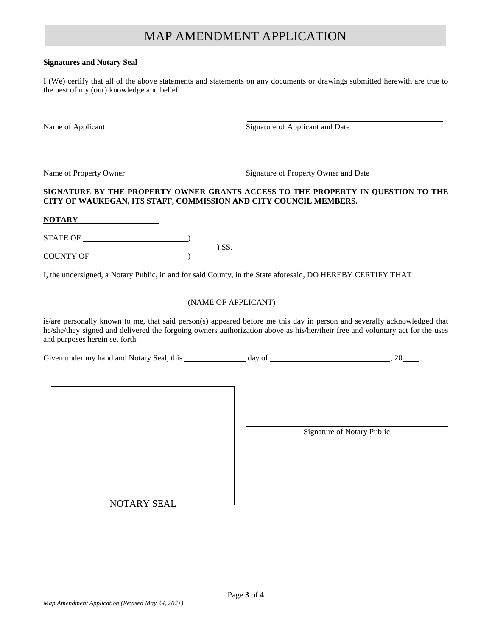#### **Signatures and Notary Seal**

I (We) certify that all of the above statements and statements on any documents or drawings submitted herewith are true to the best of my (our) knowledge and belief.

Name of Applicant Signature of Applicant and Date

Name of Property Owner Signature of Property Owner and Date

### **SIGNATURE BY THE PROPERTY OWNER GRANTS ACCESS TO THE PROPERTY IN QUESTION TO THE CITY OF WAUKEGAN, ITS STAFF, COMMISSION AND CITY COUNCIL MEMBERS.**

**NOTARY**

STATE OF  $\overline{\phantom{a}}$ 

COUNTY OF )

I, the undersigned, a Notary Public, in and for said County, in the State aforesaid, DO HEREBY CERTIFY THAT

) SS.

## (NAME OF APPLICANT)

is/are personally known to me, that said person(s) appeared before me this day in person and severally acknowledged that he/she/they signed and delivered the forgoing owners authorization above as his/her/their free and voluntary act for the uses and purposes herein set forth.

Given under my hand and Notary Seal, this  $\frac{1}{2}$  day of  $\frac{1}{2}$  ...  $\frac{20}{2}$ .

| <b>NOTARY SEAL</b> |  |
|--------------------|--|

Signature of Notary Public

NOTARY SEAL